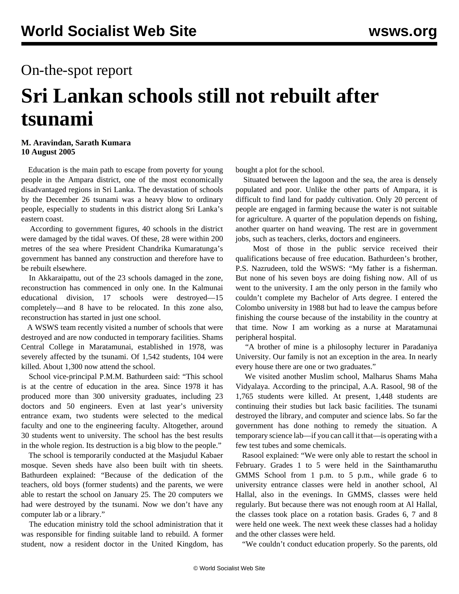## On-the-spot report

## **Sri Lankan schools still not rebuilt after tsunami**

## **M. Aravindan, Sarath Kumara 10 August 2005**

 Education is the main path to escape from poverty for young people in the Ampara district, one of the most economically disadvantaged regions in Sri Lanka. The devastation of schools by the December 26 tsunami was a heavy blow to ordinary people, especially to students in this district along Sri Lanka's eastern coast.

 According to government figures, 40 schools in the district were damaged by the tidal waves. Of these, 28 were within 200 metres of the sea where President Chandrika Kumaratunga's government has banned any construction and therefore have to be rebuilt elsewhere.

 In Akkaraipattu, out of the 23 schools damaged in the zone, reconstruction has commenced in only one. In the Kalmunai educational division, 17 schools were destroyed—15 completely—and 8 have to be relocated. In this zone also, reconstruction has started in just one school.

 A WSWS team recently visited a number of schools that were destroyed and are now conducted in temporary facilities. Shams Central College in Maratamunai, established in 1978, was severely affected by the tsunami. Of 1,542 students, 104 were killed. About 1,300 now attend the school.

 School vice-principal P.M.M. Bathurdeen said: "This school is at the centre of education in the area. Since 1978 it has produced more than 300 university graduates, including 23 doctors and 50 engineers. Even at last year's university entrance exam, two students were selected to the medical faculty and one to the engineering faculty. Altogether, around 30 students went to university. The school has the best results in the whole region. Its destruction is a big blow to the people."

 The school is temporarily conducted at the Masjudul Kabaer mosque. Seven sheds have also been built with tin sheets. Bathurdeen explained: "Because of the dedication of the teachers, old boys (former students) and the parents, we were able to restart the school on January 25. The 20 computers we had were destroyed by the tsunami. Now we don't have any computer lab or a library."

 The education ministry told the school administration that it was responsible for finding suitable land to rebuild. A former student, now a resident doctor in the United Kingdom, has bought a plot for the school.

 Situated between the lagoon and the sea, the area is densely populated and poor. Unlike the other parts of Ampara, it is difficult to find land for paddy cultivation. Only 20 percent of people are engaged in farming because the water is not suitable for agriculture. A quarter of the population depends on fishing, another quarter on hand weaving. The rest are in government jobs, such as teachers, clerks, doctors and engineers.

 Most of those in the public service received their qualifications because of free education. Bathurdeen's brother, P.S. Nazrudeen, told the WSWS: "My father is a fisherman. But none of his seven boys are doing fishing now. All of us went to the university. I am the only person in the family who couldn't complete my Bachelor of Arts degree. I entered the Colombo university in 1988 but had to leave the campus before finishing the course because of the instability in the country at that time. Now I am working as a nurse at Maratamunai peripheral hospital.

 "A brother of mine is a philosophy lecturer in Paradaniya University. Our family is not an exception in the area. In nearly every house there are one or two graduates."

 We visited another Muslim school, Malharus Shams Maha Vidyalaya. According to the principal, A.A. Rasool, 98 of the 1,765 students were killed. At present, 1,448 students are continuing their studies but lack basic facilities. The tsunami destroyed the library, and computer and science labs. So far the government has done nothing to remedy the situation. A temporary science lab—if you can call it that—is operating with a few test tubes and some chemicals.

 Rasool explained: "We were only able to restart the school in February. Grades 1 to 5 were held in the Sainthamaruthu GMMS School from 1 p.m. to 5 p.m., while grade 6 to university entrance classes were held in another school, Al Hallal, also in the evenings. In GMMS, classes were held regularly. But because there was not enough room at Al Hallal, the classes took place on a rotation basis. Grades 6, 7 and 8 were held one week. The next week these classes had a holiday and the other classes were held.

"We couldn't conduct education properly. So the parents, old